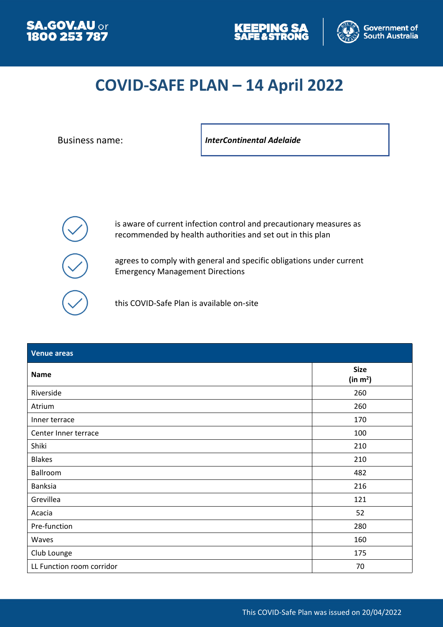





## **COVID-SAFE PLAN – 14 April 2022**

Business name: *InterContinental Adelaide*



is aware of current infection control and precautionary measures as recommended by health authorities and set out in this plan

agrees to comply with general and specific obligations under current Emergency Management Directions

this COVID-Safe Plan is available on-site

| <b>Venue areas</b>        |                           |
|---------------------------|---------------------------|
| <b>Name</b>               | <b>Size</b><br>(in $m2$ ) |
| Riverside                 | 260                       |
| Atrium                    | 260                       |
| Inner terrace             | 170                       |
| Center Inner terrace      | 100                       |
| Shiki                     | 210                       |
| <b>Blakes</b>             | 210                       |
| Ballroom                  | 482                       |
| Banksia                   | 216                       |
| Grevillea                 | 121                       |
| Acacia                    | 52                        |
| Pre-function              | 280                       |
| Waves                     | 160                       |
| Club Lounge               | 175                       |
| LL Function room corridor | 70                        |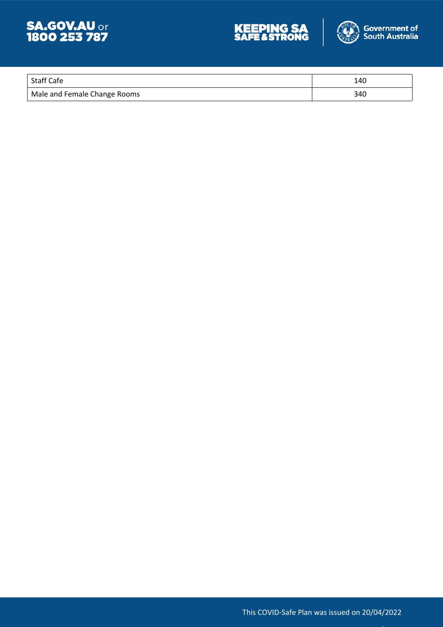





| <sup>I</sup> Staff Cafe      | 140 |
|------------------------------|-----|
| Male and Female Change Rooms | 340 |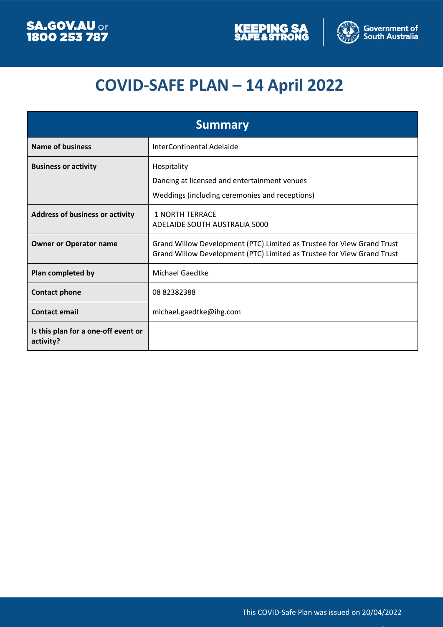



# **COVID-SAFE PLAN – 14 April 2022**

| <b>Summary</b>                                   |                                                                                                                                                  |  |
|--------------------------------------------------|--------------------------------------------------------------------------------------------------------------------------------------------------|--|
| <b>Name of business</b>                          | InterContinental Adelaide                                                                                                                        |  |
| <b>Business or activity</b>                      | Hospitality<br>Dancing at licensed and entertainment venues<br>Weddings (including ceremonies and receptions)                                    |  |
| <b>Address of business or activity</b>           | <b>1 NORTH TERRACE</b><br>ADELAIDE SOUTH AUSTRALIA 5000                                                                                          |  |
| <b>Owner or Operator name</b>                    | Grand Willow Development (PTC) Limited as Trustee for View Grand Trust<br>Grand Willow Development (PTC) Limited as Trustee for View Grand Trust |  |
| Plan completed by                                | <b>Michael Gaedtke</b>                                                                                                                           |  |
| <b>Contact phone</b>                             | 0882382388                                                                                                                                       |  |
| <b>Contact email</b>                             | michael.gaedtke@ihg.com                                                                                                                          |  |
| Is this plan for a one-off event or<br>activity? |                                                                                                                                                  |  |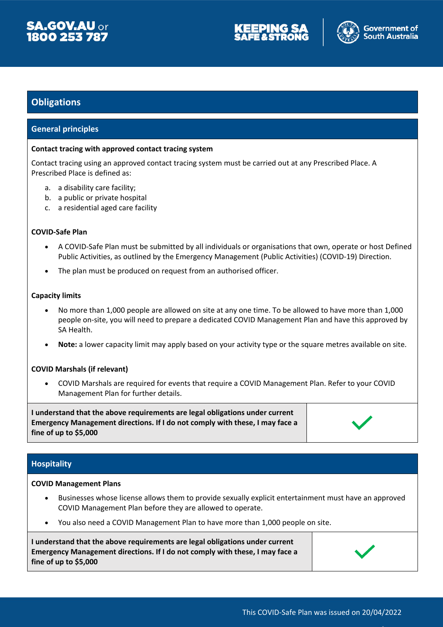





#### **Obligations**

#### **General principles**

#### **Contact tracing with approved contact tracing system**

Contact tracing using an approved contact tracing system must be carried out at any Prescribed Place. A Prescribed Place is defined as:

- a. a disability care facility;
- b. a public or private hospital
- c. a residential aged care facility

#### **COVID-Safe Plan**

- A COVID-Safe Plan must be submitted by all individuals or organisations that own, operate or host Defined Public Activities, as outlined by the Emergency Management (Public Activities) (COVID-19) Direction.
- The plan must be produced on request from an authorised officer.

#### **Capacity limits**

- No more than 1,000 people are allowed on site at any one time. To be allowed to have more than 1,000 people on-site, you will need to prepare a dedicated COVID Management Plan and have this approved by SA Health.
- **Note:** a lower capacity limit may apply based on your activity type or the square metres available on site.

#### **COVID Marshals (if relevant)**

 COVID Marshals are required for events that require a COVID Management Plan. Refer to your COVID Management Plan for further details.

**I understand that the above requirements are legal obligations under current Emergency Management directions. If I do not comply with these, I may face a fine of up to \$5,000**



#### **Hospitality**

#### **COVID Management Plans**

- Businesses whose license allows them to provide sexually explicit entertainment must have an approved COVID Management Plan before they are allowed to operate.
- You also need a COVID Management Plan to have more than 1,000 people on site.

**I understand that the above requirements are legal obligations under current Emergency Management directions. If I do not comply with these, I may face a fine of up to \$5,000**

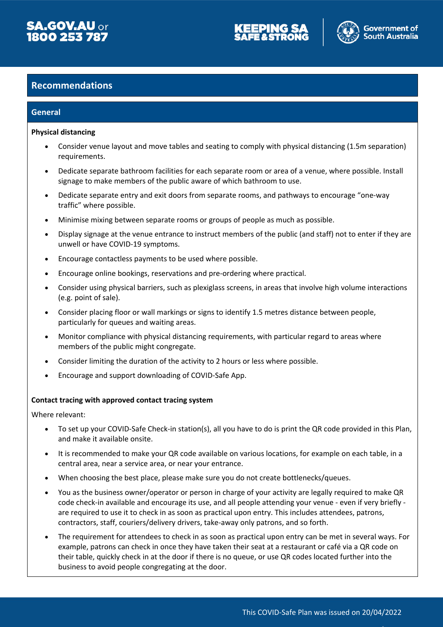





#### **Recommendations**

#### **General**

#### **Physical distancing**

- Consider venue layout and move tables and seating to comply with physical distancing (1.5m separation) requirements.
- Dedicate separate bathroom facilities for each separate room or area of a venue, where possible. Install signage to make members of the public aware of which bathroom to use.
- Dedicate separate entry and exit doors from separate rooms, and pathways to encourage "one-way traffic" where possible.
- Minimise mixing between separate rooms or groups of people as much as possible.
- Display signage at the venue entrance to instruct members of the public (and staff) not to enter if they are unwell or have COVID-19 symptoms.
- Encourage contactless payments to be used where possible.
- Encourage online bookings, reservations and pre-ordering where practical.
- Consider using physical barriers, such as plexiglass screens, in areas that involve high volume interactions (e.g. point of sale).
- Consider placing floor or wall markings or signs to identify 1.5 metres distance between people, particularly for queues and waiting areas.
- Monitor compliance with physical distancing requirements, with particular regard to areas where members of the public might congregate.
- Consider limiting the duration of the activity to 2 hours or less where possible.
- Encourage and support downloading of COVID-Safe App.

#### **Contact tracing with approved contact tracing system**

Where relevant:

- To set up your COVID-Safe Check-in station(s), all you have to do is print the QR code provided in this Plan, and make it available onsite.
- It is recommended to make your QR code available on various locations, for example on each table, in a central area, near a service area, or near your entrance.
- When choosing the best place, please make sure you do not create bottlenecks/queues.
- You as the business owner/operator or person in charge of your activity are legally required to make QR code check-in available and encourage its use, and all people attending your venue - even if very briefly are required to use it to check in as soon as practical upon entry. This includes attendees, patrons, contractors, staff, couriers/delivery drivers, take-away only patrons, and so forth.
- The requirement for attendees to check in as soon as practical upon entry can be met in several ways. For example, patrons can check in once they have taken their seat at a restaurant or café via a QR code on their table, quickly check in at the door if there is no queue, or use QR codes located further into the business to avoid people congregating at the door.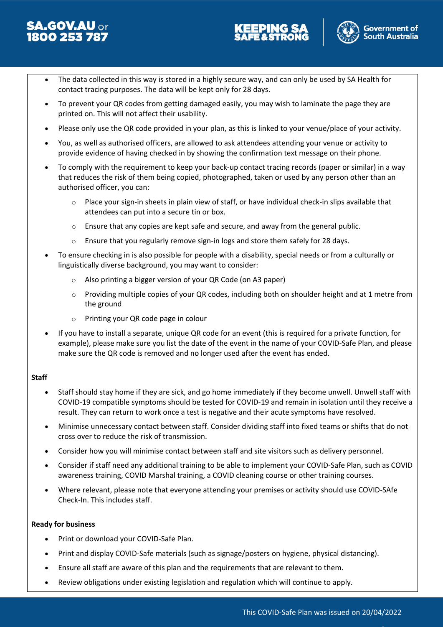# **SA.GOV.AU or**<br>1800 253 787





- The data collected in this way is stored in a highly secure way, and can only be used by SA Health for contact tracing purposes. The data will be kept only for 28 days.
- To prevent your QR codes from getting damaged easily, you may wish to laminate the page they are printed on. This will not affect their usability.
- Please only use the QR code provided in your plan, as this is linked to your venue/place of your activity.
- You, as well as authorised officers, are allowed to ask attendees attending your venue or activity to provide evidence of having checked in by showing the confirmation text message on their phone.
- To comply with the requirement to keep your back-up contact tracing records (paper or similar) in a way that reduces the risk of them being copied, photographed, taken or used by any person other than an authorised officer, you can:
	- $\circ$  Place your sign-in sheets in plain view of staff, or have individual check-in slips available that attendees can put into a secure tin or box.
	- $\circ$  Ensure that any copies are kept safe and secure, and away from the general public.
	- $\circ$  Ensure that you regularly remove sign-in logs and store them safely for 28 days.
- To ensure checking in is also possible for people with a disability, special needs or from a culturally or linguistically diverse background, you may want to consider:
	- o Also printing a bigger version of your QR Code (on A3 paper)
	- o Providing multiple copies of your QR codes, including both on shoulder height and at 1 metre from the ground
	- o Printing your QR code page in colour
- If you have to install a separate, unique QR code for an event (this is required for a private function, for example), please make sure you list the date of the event in the name of your COVID-Safe Plan, and please make sure the QR code is removed and no longer used after the event has ended.

#### **Staff**

- Staff should stay home if they are sick, and go home immediately if they become unwell. Unwell staff with COVID-19 compatible symptoms should be tested for COVID-19 and remain in isolation until they receive a result. They can return to work once a test is negative and their acute symptoms have resolved.
- Minimise unnecessary contact between staff. Consider dividing staff into fixed teams or shifts that do not cross over to reduce the risk of transmission.
- Consider how you will minimise contact between staff and site visitors such as delivery personnel.
- Consider if staff need any additional training to be able to implement your COVID-Safe Plan, such as COVID awareness training, COVID Marshal training, a COVID cleaning course or other training courses.
- Where relevant, please note that everyone attending your premises or activity should use COVID-SAfe Check-In. This includes staff.

#### **Ready for business**

- Print or download your COVID-Safe Plan.
- Print and display COVID-Safe materials (such as signage/posters on hygiene, physical distancing).
- Ensure all staff are aware of this plan and the requirements that are relevant to them.
- Review obligations under existing legislation and regulation which will continue to apply.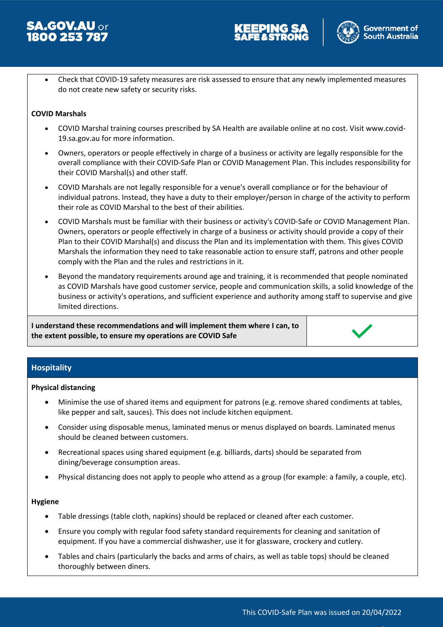





 Check that COVID-19 safety measures are risk assessed to ensure that any newly implemented measures do not create new safety or security risks.

#### **COVID Marshals**

- COVID Marshal training courses prescribed by SA Health are available online at no cost. Visit www.covid-19.sa.gov.au for more information.
- Owners, operators or people effectively in charge of a business or activity are legally responsible for the overall compliance with their COVID-Safe Plan or COVID Management Plan. This includes responsibility for their COVID Marshal(s) and other staff.
- COVID Marshals are not legally responsible for a venue's overall compliance or for the behaviour of individual patrons. Instead, they have a duty to their employer/person in charge of the activity to perform their role as COVID Marshal to the best of their abilities.
- COVID Marshals must be familiar with their business or activity's COVID-Safe or COVID Management Plan. Owners, operators or people effectively in charge of a business or activity should provide a copy of their Plan to their COVID Marshal(s) and discuss the Plan and its implementation with them. This gives COVID Marshals the information they need to take reasonable action to ensure staff, patrons and other people comply with the Plan and the rules and restrictions in it.
- Beyond the mandatory requirements around age and training, it is recommended that people nominated as COVID Marshals have good customer service, people and communication skills, a solid knowledge of the business or activity's operations, and sufficient experience and authority among staff to supervise and give limited directions.

**I understand these recommendations and will implement them where I can, to the extent possible, to ensure my operations are COVID Safe**

#### **Hospitality**

#### **Physical distancing**

- Minimise the use of shared items and equipment for patrons (e.g. remove shared condiments at tables, like pepper and salt, sauces). This does not include kitchen equipment.
- Consider using disposable menus, laminated menus or menus displayed on boards. Laminated menus should be cleaned between customers.
- Recreational spaces using shared equipment (e.g. billiards, darts) should be separated from dining/beverage consumption areas.
- Physical distancing does not apply to people who attend as a group (for example: a family, a couple, etc).

#### **Hygiene**

- Table dressings (table cloth, napkins) should be replaced or cleaned after each customer.
- Ensure you comply with regular food safety standard requirements for cleaning and sanitation of equipment. If you have a commercial dishwasher, use it for glassware, crockery and cutlery.
- Tables and chairs (particularly the backs and arms of chairs, as well as table tops) should be cleaned thoroughly between diners.